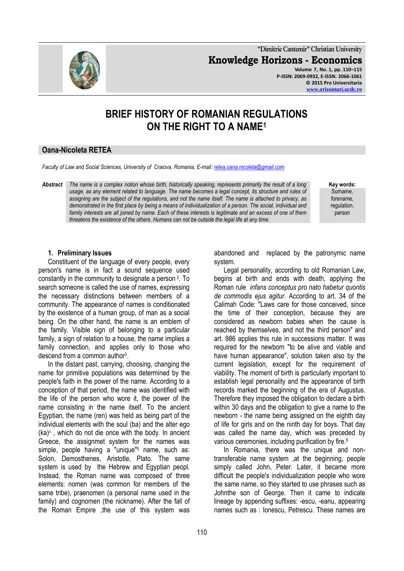**"Dimitrie Cantemir" Christian University Knowledge Horizons - Economics Volume 7, No. 1, pp. 110–115 P-ISSN: 2069-0932, E-ISSN: 2066-1061 © 2015 Pro Universitaria**

# **BRIEF HISTORY OF ROMANIAN REGULATIONS ON THE RIGHT TO A NAME<sup>1</sup>**

# **Oana-Nicoleta RETEA**

*Faculty of Law and Social Sciences, University of Craiova, Romania, E-mail[: retea.oana.nicoleta@gmail.com](mailto:retea.oana.nicoleta@gmail.com)*

*Abstract The name is a complex notion whose birth, historically speaking, represents primarily the result of a long usage, as any element related to language. The name becomes a legal concept, its structure and rules of assigning are the subject of the regulations, and not the name itself. The name is attached to privacy, as demonstrated in the first place by being a means of individualization of a person. The social, individual and family interests are all joined by name. Each of these interests is legitimate and an excess of one of them threatens the existence of the others. Humans can not be outside the legal life at any time.*

**Key words:** Surname, forename, regulation, person

## **1. Preliminary Issues**

Constituent of the language of every people, every person's name is in fact a sound sequence used constantly in the community to designate a person <sup>2</sup> . To search someone is called the use of names, expressing the necessary distinctions between members of a community. The appearance of names is conditionated by the existence of a human group, of man as a social being. On the other hand, the name is an emblem of the family. Visible sign of belonging to a particular family, a sign of relation to a house, the name implies a family connection, and applies only to those who descend from a common author<sup>3</sup>.

In the distant past, carrying, choosing, changing the name for primitive populations was determined by the people's faith in the power of the name. According to a conception of that period, the name was identified with the life of the person who wore it, the power of the name consisting in the name itself. To the ancient Egyptian, the name (ren) was held as being part of the individual elements with the soul (ba) and the alter ego (ka)<sup>4</sup> , which do not die once with the body. In ancient Greece, the assignmet system for the names was simple, people having a "unique"<sup>5</sup> name, such as: Solon, Demosthenes, Aristotle, Plato. The same system is used by the Hebrew and Egyptian peopl. Instead, the Roman name was composed of three elements: nomen (was common for members of the same tribe), praenomen (a personal name used in the family) and cognomen (the nickname). After the fall of the Roman Empire ,the use of this system was

abandoned and replaced by the patronymic name system.

Legal personality, according to old Romanian Law, begins at birth and ends with death, applying the Roman rule *infans conceptus pro nato habetur quontis de commodis ejus agitur.* According to art. 34 of the Calimah Code: "Laws care for those conceived, since the time of their conception, because they are considered as newborn babies when the cause is reached by themselves, and not the third person" and art. 986 applies this rule in successions matter. It was required for the newborn "to be alive and viable and have human appearance", solution taken also by the current legislation, except for the requirement of viability. The moment of birth is particularly important to establish legal personality and the appearance of birth records marked the beginning of the era of Augustus. Therefore they imposed the obligation to declare a birth within 30 days and the obligation to give a name to the newborn - the name being assigned on the eighth day of life for girls and on the ninth day for boys. That day was called the name day, which was preceded by various ceremonies, including purification by fire.<sup>6</sup>

In Romania, there was the unique and nontransferable name system ,at the beginning, people simply called John, Peter. Later, it became more difficult the people's individualization people who wore the same name, so they started to use phrases such as Johnthe son of George. Then it came to indicate lineage by appending suffixes: -escu, -eanu, appearing names such as : Ionescu, Petrescu. These names are

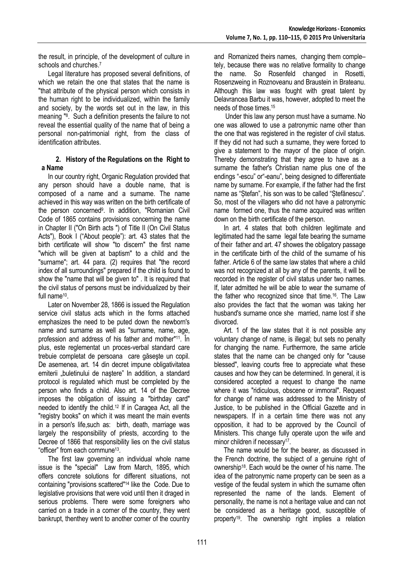the result, in principle, of the development of culture in schools and churches. 7

Legal literature has proposed several definitions, of which we retain the one that states that the name is "that attribute of the physical person which consists in the human right to be individualized, within the family and society, by the words set out in the law, in this meaning "<sup>8</sup> . Such a definition presents the failure to not reveal the essential quality of the name that of being a personal non-patrimonial right, from the class of identification attributes.

# **2. History of the Regulations on the Right to a Name**

In our country right, Organic Regulation provided that any person should have a double name, that is composed of a name and a surname. The name achieved in this way was written on the birth certificate of the person concerned<sup>9</sup>. In addition, "Romanian Civil Code of 1865 contains provisions concerning the name in Chapter II ("On Birth acts ") of Title II (On Civil Status Acts"), Book I ("About people"): art. 43 states that the birth certificate will show "to discern" the first name "which will be given at baptism" to a child and the "surname"; art. 44 para. (2) requires that "the record index of all surroundings" prepared if the child is found to show the "name that will be given to" . It is required that the civil status of persons must be individualized by their full name<sup>10</sup>.

Later on November 28, 1866 is issued the Regulation service civil status acts which in the forms attached emphasizes the need to be puted down the newborn's name and surname as well as "surname, name, age, profession and address of his father and mother" <sup>11</sup>. În plus, este reglementat un proces-verbal standard care trebuie completat de persoana care găseşte un copil. De asemenea, art. 14 din decret impune obligativitatea emiterii "buletinului de naștere" In addition, a standard protocol is regulated which must be completed by the person who finds a child. Also art. 14 of the Decree imposes the obligation of issuing a "birthday card" needed to identify the child.<sup>12</sup> If in Caragea Act, all the "registry books" on which it was meant the main events in a person's life,such as: birth, death, marriage was largely the responsibility of priests, according to the Decree of 1866 that responsibility lies on the civil status "officer" from each commune<sup>13</sup>.

The first law governing an individual whole name issue is the "special" Law from March, 1895, which offers concrete solutions for different situations, not containing "provisions scattered" <sup>14</sup> like the Code. Due to legislative provisions that were void until then it draged in serious problems. There were some foreigners who carried on a trade in a corner of the country, they went bankrupt, thenthey went to another corner of the country and Romanized theirs names, changing them comple– tely, because there was no relative formality to change the name. So Rosenfeld changed in Rosetti, Rosenzweing in Roznoveanu and Braustein in Brateanu. Although this law was fought with great talent by Delavrancea Barbu it was, however, adopted to meet the needs of those times. 15

Under this law any person must have a surname. No one was allowed to use a patronymic name other than the one that was registered in the register of civil status. If they did not had such a surname, they were forced to give a statement to the mayor of the place of origin. Thereby demonstrating that they agree to have as a surname the father's Christian name plus one of the endings "-escu" or"-eanu", being designed to differentiate name by surname. For example, if the father had the first name as "Ștefan", his son was to be called "Ștefănescu". So, most of the villagers who did not have a patronymic name formed one, thus the name acquired was written down on the birth certificate of the person.

In art. 4 states that both children legitimate and legitimated had the same legal fate bearing the surname of their father and art. 47 showes the obligatory passage in the certificate birth of the child of the surname of his father. Article 6 of the same law states that where a child was not recognized at all by any of the parents, it will be recorded in the register of civil status under two names. If, later admitted he will be able to wear the surname of the father who recognized since that time. 16 . The Law also provides the fact that the woman was taking her husband's surname once she married, name lost if she divorced.

Art. 1 of the law states that it is not possible any voluntary change of name, is illegal; but sets no penalty for changing the name. Furthermore, the same article states that the name can be changed only for "cause blessed", leaving courts free to appreciate what these causes and how they can be determined. In general, it is considered accepted a request to change the name where it was "ridiculous, obscene or immoral". Request for change of name was addressed to the Ministry of Justice, to be published in the Official Gazette and in newspapers. If in a certain time there was not any opposition, it had to be approved by the Council of Ministers. This change fully operate upon the wife and minor children if necessary<sup>17</sup>.

The name would be for the bearer, as discussed in the French doctrine, the subject of a genuine right of ownership<sup>18</sup> . Each would be the owner of his name. The idea of the patronymic name property can be seen as a vestige of the feudal system in which the surname often represented the name of the lands. Element of personality, the name is not a heritage value and can not be considered as a heritage good, susceptible of property<sup>19</sup>. The ownership right implies a relation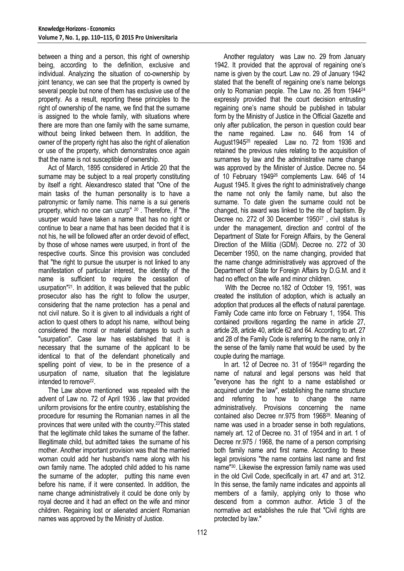between a thing and a person, this right of ownership being, according to the definition, exclusive and individual. Analyzing the situation of co-ownership by joint tenancy, we can see that the property is owned by several people but none of them has exclusive use of the property. As a result, reporting these principles to the right of ownership of the name, we find that the surname is assigned to the whole family, with situations where there are more than one family with the same surname, without being linked between them. In addition, the owner of the property right has also the right of alienation or use of the property, which demonstrates once again that the name is not susceptible of ownership.

Act of March, 1895 considered in Article 20 that the surname may be subject to a real property constituting by itself a right. Alexandresco stated that "One of the main tasks of the human personality is to have a patronymic or family name. This name is a sui generis property, which no one can uzurp" *20* . Therefore, if "the usurper would have taken a name that has no right or continue to bear a name that has been decided that it is not his, he will be followed after an order devoid of effect, by those of whose names were usurped, in front of the respective courts. Since this provision was concluded that "the right to pursue the usurper is not linked to any manifestation of particular interest, the identity of the name is sufficient to require the cessation of usurpation"<sup>21</sup>. In addition, it was believed that the public prosecutor also has the right to follow the usurper, considering that the name protection has a penal and not civil nature. So it is given to all individuals a right of action to quest others to adopt his name, without being considered the moral or material damages to such a "usurpation". Case law has established that it is necessary that the surname of the applicant to be identical to that of the defendant phonetically and spelling point of view, to be in the presence of a usurpation of name, situation that the legislature intended to remove<sup>22</sup>.

The Law above mentioned was repealed with the advent of Law no. 72 of April 1936 , law that provided uniform provisions for the entire country, establishing the procedure for resuming the Romanian names in all the provinces that were united with the country.23This stated that the legitimate child takes the surname of the father. Illegitimate child, but admitted takes the surname of his mother. Another important provision was that the married woman could add her husband's name along with his own family name. The adopted child added to his name the surname of the adopter, putting this name even before his name, if it were consented. In addition, the name change administratively it could be done only by royal decree and it had an effect on the wife and minor children. Regaining lost or alienated ancient Romanian names was approved by the Ministry of Justice.

Another regulatory was Law no. 29 from January 1942. It provided that the approval of regaining one's name is given by the court. Law no. 29 of January 1942 stated that the benefit of regaining one's name belongs only to Romanian people. The Law no. 26 from 1944<sup>24</sup> expressly provided that the court decision entrusting regaining one's name should be published in tabular form by the Ministry of Justice in the Official Gazette and only after publication, the person in question could bear the name regained. Law no. 646 from 14 of August1945<sup>25</sup> repealed Law no. 72 from 1936 and retained the previous rules relating to the acquisition of surnames by law and the administrative name change was approved by the Minister of Justice. Decree no. 54 of 10 February 1949<sup>26</sup> complements Law. 646 of 14 August 1945. It gives the right to administratively change the name not only the family name, but also the surname. To date given the surname could not be changed, his award was linked to the rite of baptism. By Decree no. 272 of 30 December 1950<sup>27</sup>, civil status is under the management, direction and control of the Department of State for Foreign Affairs, by the General Direction of the Militia (GDM). Decree no. 272 of 30 December 1950, on the name changing, provided that the name change administratively was approved of the Department of State for Foreign Affairs by D.G.M. and it had no effect on the wife and minor children.

With the Decree no.182 of October 19, 1951, was created the institution of adoption, which is actually an adoption that produces all the effects of natural parentage. Family Code came into force on February 1, 1954. This contained provitions regarding the name in article 27, article 28, article 40, article 62 and 64. According to art. 27 and 28 of the Family Code is referring to the name, only in the sense of the family name that would be used by the couple during the marriage.

In art. 12 of Decree no. 31 of 1954<sup>28</sup> regarding the name of natural and legal persons was held that "everyone has the right to a name established or acquired under the law", establishing the name structure and referring to how to change the name administratively. Provisions concerning the name contained also Decree nr.975 from 1968<sup>29</sup>. Meaning of name was used in a broader sense in both regulations, namely art. 12 of Decree no. 31 of 1954 and in art. 1 of Decree nr.975 / 1968, the name of a person comprising both family name and first name. According to these legal provisions "the name contains last name and first name" <sup>30</sup>. Likewise the expression family name was used in the old Civil Code, specifically in art. 47 and art. 312. In this sense, the family name indicates and appoints all members of a family, applying only to those who descend from a common author. Article 3 of the normative act establishes the rule that "Civil rights are protected by law."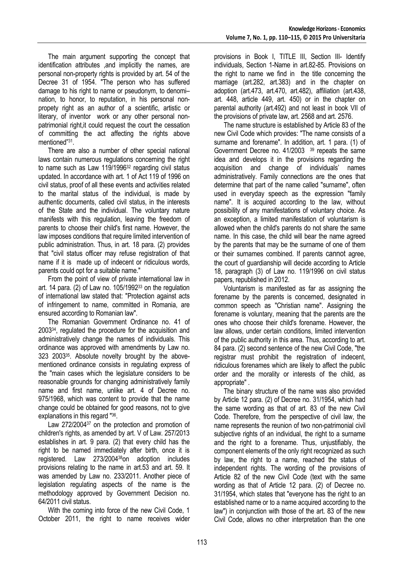The main argument supporting the concept that identification attributes ,and implicitly the names, are personal non-property rights is provided by art. 54 of the Decree 31 of 1954. "The person who has suffered damage to his right to name or pseudonym, to denomi– nation, to honor, to reputation, in his personal nonpropety right as an author of a scientific, artistic or literary, of inventor work or any other personal nonpatrimonial right,it could request the court the cessation of committing the act affecting the rights above mentioned"<sup>31</sup>.

There are also a number of other special national laws contain numerous regulations concerning the right to name such as Law 119/1996<sup>32</sup> regarding civil status updated. In accordance with art. 1 of Act 119 of 1996 on civil status, proof of all these events and activities related to the marital status of the individual, is made by authentic documents, called civil status, in the interests of the State and the individual. The voluntary nature manifests with this regulation, leaving the freedom of parents to choose their child's first name. However, the law imposes conditions that require limited intervention of public administration. Thus, in art. 18 para. (2) provides that "civil status officer may refuse registration of that name if it is made up of indecent or ridiculous words, parents could opt for a suitable name."

From the point of view of private international law in art. 14 para. (2) of Law no.  $105/1992^{33}$  on the regulation of international law stated that: "Protection against acts of infringement to name, committed in Romania, are ensured according to Romanian law".

The Romanian Government Ordinance no. 41 of 2003<sup>34</sup> , regulated the procedure for the acquisition and administratively change the names of individuals. This ordinance was approved with amendments by Law no. 323 2003<sup>35</sup> . Absolute novelty brought by the abovementioned ordinance consists in regulating express of the "main cases which the legislature considers to be reasonable grounds for changing administratively family name and first name, unlike art. 4 of Decree no. 975/1968, which was content to provide that the name change could be obtained for good reasons, not to give explanations in this regard "36.

Law 272/2004<sup>37</sup> on the protection and promotion of children's rights, as amended by art. V of Law. 257/2013 establishes in art. 9 para. (2) that every child has the right to be named immediately after birth, once it is registered. Law 273/200438on adoption includes provisions relating to the name in art.53 and art. 59. It was amended by Law no. 233/2011. Another piece of legislation regulating aspects of the name is the methodology approved by Government Decision no. 64/2011 civil status.

With the coming into force of the new Civil Code, 1 October 2011, the right to name receives wider provisions in Book I, TITLE III, Section III- Identify individuals, Section 1-Name in art.82-85. Provisions on the right to name we find in the title concerning the marriage (art.282, art.383) and in the chapter on adoption (art.473, art.470, art.482), affiliation (art.438, art. 448, article 449, art. 450) or in the chapter on parental authority (art.492) and not least in book VII of the provisions of private law, art. 2568 and art. 2576.

The name structure is established by Article 83 of the new Civil Code which provides: "The name consists of a surname and forename". In addition, art. 1 para. (1) of Government Decree no. 41/2003 <sup>39</sup> repeats the same idea and develops it in the provisions regarding the acquisition and change of individuals' names administratively. Family connections are the ones that determine that part of the name called "surname", often used in everyday speech as the expression "family name". It is acquired according to the law, without possibility of any manifestations of voluntary choice. As an exception, a limited manifestation of voluntarism is allowed when the child's parents do not share the same name. In this case, the child will bear the name agreed by the parents that may be the surname of one of them or their surnames combined. If parents cannot agree, the court of guardianship will decide according to Article 18, paragraph (3) of Law no. 119/1996 on civil status papers, republished in 2012.

Voluntarism is manifested as far as assigning the forename by the parents is concerned, designated in common speech as "Christian name". Assigning the forename is voluntary, meaning that the parents are the ones who choose their child's forename. However, the law allows, under certain conditions, limited intervention of the public authority in this area. Thus, according to art. 84 para. (2) second sentence of the new Civil Code, "the registrar must prohibit the registration of indecent, ridiculous forenames which are likely to affect the public order and the morality or interests of the child, as appropriate" .

The binary structure of the name was also provided by Article 12 para. (2) of Decree no. 31/1954, which had the same wording as that of art. 83 of the new Civil Code. Therefore, from the perspective of civil law, the name represents the reunion of two non-patrimonial civil subjective rights of an individual, the right to a surname and the right to a forename. Thus, unjustifiably, the component elements of the only right recognized as such by law, the right to a name, reached the status of independent rights. The wording of the provisions of Article 82 of the new Civil Code (text with the same wording as that of Article 12 para. (2) of Decree no. 31/1954, which states that "everyone has the right to an established name or to a name acquired according to the law") in conjunction with those of the art. 83 of the new Civil Code, allows no other interpretation than the one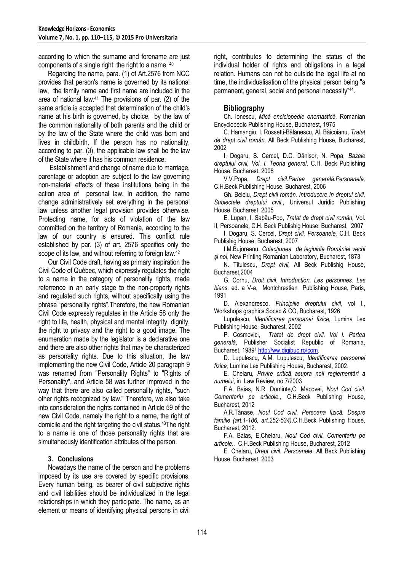according to which the surname and forename are just components of a single right: the right to a name. <sup>40</sup>

Regarding the name, para. (1) of Art.2576 from NCC provides that person's name is governed by its national law, the family name and first name are included in the area of national law. <sup>41</sup> The provisions of par. (2) of the same article is accepted that determination of the child's name at his birth is governed, by choice, by the law of the common nationality of both parents and the child or by the law of the State where the child was born and lives in childbirth. If the person has no nationality, according to par. (3), the applicable law shall be the law of the State where it has his common residence.

Establishment and change of name due to marriage, parentage or adoption are subject to the law governing non-material effects of these institutions being in the action area of personal law. In addition, the name change administratively set everything in the personal law unless another legal provision provides otherwise. Protecting name, for acts of violation of the law committed on the territory of Romania, according to the law of our country is ensured. This conflict rule established by par. (3) of art. 2576 specifies only the scope of its law, and without referring to foreign law.<sup>42</sup>

Our Civil Code draft, having as primary inspiration the Civil Code of Québec, which expressly regulates the right to a name in the category of personality rights, made referrence in an early stage to the non-property rights and regulated such rights, without specifically using the phrase "personality rights".Therefore, the new Romanian Civil Code expressly regulates in the Article 58 only the right to life, health, physical and mental integrity, dignity, the right to privacy and the right to a good image. The enumeration made by the legislator is a declarative one and there are also other rights that may be characterized as personality rights. Due to this situation, the law implementing the new Civil Code, Article 20 paragraph 9 was renamed from "Personality Rights" to "Rights of Personality", and Article 58 was further improved in the way that there are also called personality rights, "such other rights recognized by law." Therefore, we also take into consideration the rights contained in Article 59 of the new Civil Code, namely the right to a name, the right of domicile and the right targeting the civil status.43The right to a name is one of those personality rights that are simultaneously identification attributes of the person.

## **3. Conclusions**

Nowadays the name of the person and the problems imposed by its use are covered by specific provisions. Every human being, as bearer of civil subjective rights and civil liabilities should be individualized in the legal relationships in which they participate. The name, as an element or means of identifying physical persons in civil right, contributes to determining the status of the individual holder of rights and obligations in a legal relation. Humans can not be outside the legal life at no time, the individualisation of the physical person being "a permanent, general, social and personal necessity"<sup>44</sup> .

## **Bibliography**

Ch. Ionescu, *Mică enciclopedie onomastică,* Romanian Encyclopedic Publishing House, Bucharest, 1975

C. Hamangiu, I. Rossetti-Bălănescu, Al. Băicoianu, *Tratat de drept civil român,* All Beck Publishing House, Bucharest, 2002

I. Dogaru, S. Cercel, D.C. Dănișor, N. Popa, *Bazele dreptului civil, Vol. I. Teoria general*. C.H. Beck Publishing House, Bucharest, 2008

V.V.Popa, *Drept civil.Partea generală.Persoanele,* C.H.Beck Publishing House, Bucharest, 2006

Gh. Beleiu, *Drept civil român. Introducere în dreptul civil. Subiectele dreptului civil.*, Universul Juridic Publishing House, Bucharest, 2005

E. Lupan, I. Sabău-Pop, *Tratat de drept civil român,* Vol. II, Persoanele, C.H. Beck Publishig House, Bucharest, 2007

I. Dogaru, S. Cercel, *Drept civil. Persoanele,* C.H. Beck Publishig House, Bucharest, 2007

I.M.Bujoreanu, *Colecţiunea de legiuirile României vechi şi noi*, New Printing Romanian Laboratory, Bucharest, 1873

N. Titulescu, *Drept civil,* All Beck Publishig House, Bucharest,2004

G. Cornu, *Droit civil. Introduction. Les personnes. Les biens.* ed. a V-a, Montchrestien Publishing House, Paris, 1991

D. Alexandresco, *Principiile dreptului civil*, vol I., Workshops graphics Socec & CO, Bucharest, 1926

Lupulescu, *Identificarea persoanei fizice,* Lumina Lex Publishing House, Bucharest, 2002

P. Cosmovici, *Tratat de drept civil. Vol I. Partea generală*, Publisher Socialist Republic of Romania, Bucharest, 1989<sup>1</sup> [http://ww.digibuc.ro/com.](http://ww.digibuc.ro/com)

D. Lupulescu, A.M. Lupulescu, *Identificarea persoanei fizice,* Lumina Lex Publishing House, Bucharest, 2002.

E. Chelaru, *Privire critică asupra noii reglementări a numelui*, in Law Review, no.7/2003

F.A. Baias, N.R. Dominte,C. Macovei, *Noul Cod civil. Comentariu pe articole.,* C.H.Beck Publishing House, Bucharest, 2012

A.R.Tănase, *Noul Cod civil. Persoana fizică. Despre familie (art.1-186, art.252-534)*.C.H.Beck Publishing House, Bucharest, 2012.

F.A. Baias, E.Chelaru, *Noul Cod civil. Comentariu pe articole.,* C.H.Beck Publishing House, Bucharest, 2012

E. Chelaru, *Drept civil. Persoanele*. All Beck Publishing House, Bucharest, 2003